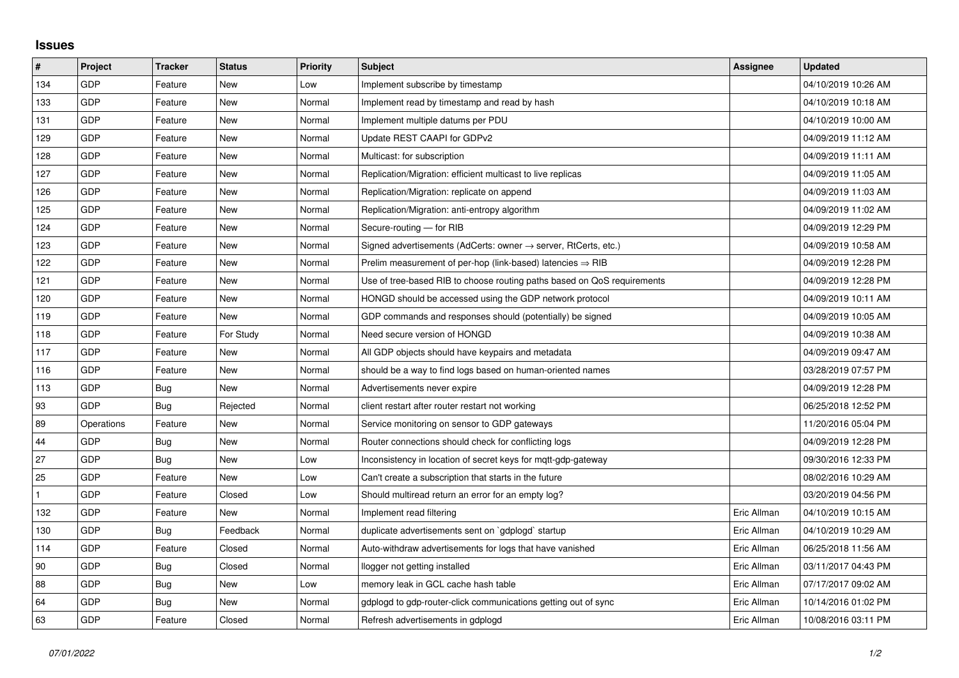## **Issues**

| #   | Project    | <b>Tracker</b> | <b>Status</b> | <b>Priority</b> | <b>Subject</b>                                                             | Assignee    | <b>Updated</b>      |
|-----|------------|----------------|---------------|-----------------|----------------------------------------------------------------------------|-------------|---------------------|
| 134 | GDP        | Feature        | <b>New</b>    | Low             | Implement subscribe by timestamp                                           |             | 04/10/2019 10:26 AM |
| 133 | GDP        | Feature        | New           | Normal          | Implement read by timestamp and read by hash                               |             | 04/10/2019 10:18 AM |
| 131 | GDP        | Feature        | New           | Normal          | Implement multiple datums per PDU                                          |             | 04/10/2019 10:00 AM |
| 129 | GDP        | Feature        | <b>New</b>    | Normal          | Update REST CAAPI for GDPv2                                                |             | 04/09/2019 11:12 AM |
| 128 | GDP        | Feature        | <b>New</b>    | Normal          | Multicast: for subscription                                                |             | 04/09/2019 11:11 AM |
| 127 | <b>GDP</b> | Feature        | New           | Normal          | Replication/Migration: efficient multicast to live replicas                |             | 04/09/2019 11:05 AM |
| 126 | GDP        | Feature        | <b>New</b>    | Normal          | Replication/Migration: replicate on append                                 |             | 04/09/2019 11:03 AM |
| 125 | GDP        | Feature        | New           | Normal          | Replication/Migration: anti-entropy algorithm                              |             | 04/09/2019 11:02 AM |
| 124 | GDP        | Feature        | New           | Normal          | Secure-routing - for RIB                                                   |             | 04/09/2019 12:29 PM |
| 123 | GDP        | Feature        | <b>New</b>    | Normal          | Signed advertisements (AdCerts: owner $\rightarrow$ server, RtCerts, etc.) |             | 04/09/2019 10:58 AM |
| 122 | GDP        | Feature        | New           | Normal          | Prelim measurement of per-hop (link-based) latencies $\Rightarrow$ RIB     |             | 04/09/2019 12:28 PM |
| 121 | GDP        | Feature        | New           | Normal          | Use of tree-based RIB to choose routing paths based on QoS requirements    |             | 04/09/2019 12:28 PM |
| 120 | GDP        | Feature        | <b>New</b>    | Normal          | HONGD should be accessed using the GDP network protocol                    |             | 04/09/2019 10:11 AM |
| 119 | GDP        | Feature        | New           | Normal          | GDP commands and responses should (potentially) be signed                  |             | 04/09/2019 10:05 AM |
| 118 | GDP        | Feature        | For Study     | Normal          | Need secure version of HONGD                                               |             | 04/09/2019 10:38 AM |
| 117 | GDP        | Feature        | New           | Normal          | All GDP objects should have keypairs and metadata                          |             | 04/09/2019 09:47 AM |
| 116 | GDP        | Feature        | New           | Normal          | should be a way to find logs based on human-oriented names                 |             | 03/28/2019 07:57 PM |
| 113 | GDP        | Bug            | New           | Normal          | Advertisements never expire                                                |             | 04/09/2019 12:28 PM |
| 93  | GDP        | Bug            | Rejected      | Normal          | client restart after router restart not working                            |             | 06/25/2018 12:52 PM |
| 89  | Operations | Feature        | New           | Normal          | Service monitoring on sensor to GDP gateways                               |             | 11/20/2016 05:04 PM |
| 44  | GDP        | Bug            | New           | Normal          | Router connections should check for conflicting logs                       |             | 04/09/2019 12:28 PM |
| 27  | GDP        | Bug            | <b>New</b>    | Low             | Inconsistency in location of secret keys for mgtt-gdp-gateway              |             | 09/30/2016 12:33 PM |
| 25  | GDP        | Feature        | New           | Low             | Can't create a subscription that starts in the future                      |             | 08/02/2016 10:29 AM |
|     | GDP        | Feature        | Closed        | Low             | Should multiread return an error for an empty log?                         |             | 03/20/2019 04:56 PM |
| 132 | GDP        | Feature        | New           | Normal          | Implement read filtering                                                   | Eric Allman | 04/10/2019 10:15 AM |
| 130 | GDP        | Bug            | Feedback      | Normal          | duplicate advertisements sent on `gdplogd` startup                         | Eric Allman | 04/10/2019 10:29 AM |
| 114 | GDP        | Feature        | Closed        | Normal          | Auto-withdraw advertisements for logs that have vanished                   | Eric Allman | 06/25/2018 11:56 AM |
| 90  | GDP        | Bug            | Closed        | Normal          | llogger not getting installed                                              | Eric Allman | 03/11/2017 04:43 PM |
| 88  | GDP        | <b>Bug</b>     | New           | Low             | memory leak in GCL cache hash table                                        | Eric Allman | 07/17/2017 09:02 AM |
| 64  | GDP        | Bug            | New           | Normal          | gdplogd to gdp-router-click communications getting out of sync             | Eric Allman | 10/14/2016 01:02 PM |
| 63  | GDP        | Feature        | Closed        | Normal          | Refresh advertisements in gdplogd                                          | Eric Allman | 10/08/2016 03:11 PM |